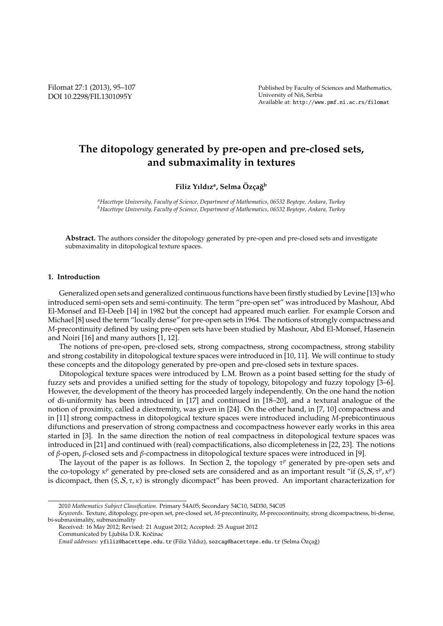Filomat 27:1 (2013), 95–107 DOI 10.2298/FIL1301095Y

Published by Faculty of Sciences and Mathematics, University of Nis, Serbia ˇ Available at: http://www.pmf.ni.ac.rs/filomat

# **The ditopology generated by pre-open and pre-closed sets, and submaximality in textures**

## $\mathbf{F}\mathbf{i}$ liz Yıldız<sup>a</sup>, Selma Özçağ<sup>b</sup>

*<sup>a</sup>Hacettepe University, Faculty of Science, Department of Mathematics, 06532 Beytepe, Ankara, Turkey <sup>b</sup>Hacettepe University, Faculty of Science, Department of Mathematics, 06532 Beytepe, Ankara, Turkey*

Abstract. The authors consider the ditopology generated by pre-open and pre-closed sets and investigate submaximality in ditopological texture spaces.

#### **1. Introduction**

Generalized open sets and generalized continuous functions have been firstly studied by Levine [13] who introduced semi-open sets and semi-continuity. The term "pre-open set" was introduced by Mashour, Abd El-Monsef and El-Deeb [14] in 1982 but the concept had appeared much earlier. For example Corson and Michael [8] used the term "locally dense" for pre-open sets in 1964. The notions of strongly compactness and *M*-precontinuity defined by using pre-open sets have been studied by Mashour, Abd El-Monsef, Hasenein and Noiri [16] and many authors [1, 12].

The notions of pre-open, pre-closed sets, strong compactness, strong cocompactness, strong stability and strong costability in ditopological texture spaces were introduced in [10, 11]. We will continue to study these concepts and the ditopology generated by pre-open and pre-closed sets in texture spaces.

Ditopological texture spaces were introduced by L.M. Brown as a point based setting for the study of fuzzy sets and provides a unified setting for the study of topology, bitopology and fuzzy topology [3–6]. However, the development of the theory has proceeded largely independently. On the one hand the notion of di-uniformity has been introduced in [17] and continued in [18–20], and a textural analogue of the notion of proximity, called a diextremity, was given in [24]. On the other hand, in [7, 10] compactness and in [11] strong compactness in ditopological texture spaces were introduced including *M*-prebicontinuous difunctions and preservation of strong compactness and cocompactness however early works in this area started in [3]. In the same direction the notion of real compactness in ditopological texture spaces was introduced in [21] and continued with (real) compactifications, also dicompleteness in [22, 23]. The notions of β-open, β-closed sets and β-compactness in ditopological texture spaces were introduced in [9].

The layout of the paper is as follows. In Section 2, the topology  $\tau^p$  generated by pre-open sets and the co-topology  $\kappa^p$  generated by pre-closed sets are considered and as an important result "if  $(S, S, \tau^p, \kappa^p)$ is dicompact, then  $(S, S, \tau, \kappa)$  is strongly dicompact" has been proved. An important characterization for

<sup>2010</sup> *Mathematics Subject Classification*. Primary 54A05; Secondary 54C10, 54D30, 54C05

*Keywords*. Texture, ditopology, pre-open set, pre-closed set, *M*-precontinuity, *M*-precocontinuity, strong dicompactness, bi-dense, bi-submaximality, submaximality

Received: 16 May 2012; Revised: 21 August 2012; Accepted: 25 August 2012

Communicated by Ljubiša D.R. Kočinac

Email addresses: yfiliz@hacettepe.edu.tr (Filiz Yıldız), sozcag@hacettepe.edu.tr (Selma Özçağ)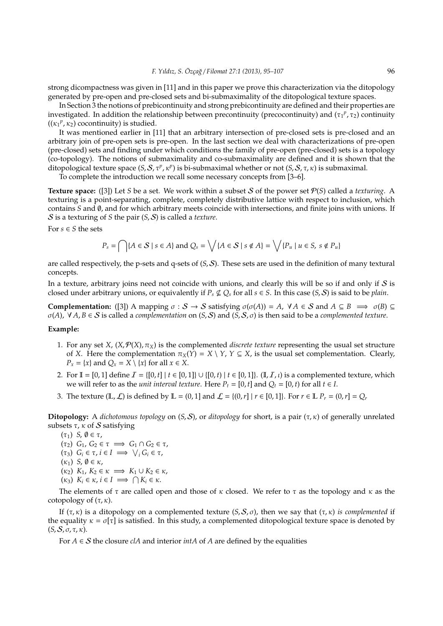strong dicompactness was given in [11] and in this paper we prove this characterization via the ditopology generated by pre-open and pre-closed sets and bi-submaximality of the ditopological texture spaces.

In Section 3 the notions of prebicontinuity and strong prebicontinuity are defined and their properties are investigated. In addition the relationship between precontinuity (precocontinuity) and  $(\tau_1^p, \tau_2)$  continuity  $((\kappa_1^p, \kappa_2)$  cocontinuity) is studied.

It was mentioned earlier in [11] that an arbitrary intersection of pre-closed sets is pre-closed and an arbitrary join of pre-open sets is pre-open. In the last section we deal with characterizations of pre-open (pre-closed) sets and finding under which conditions the family of pre-open (pre-closed) sets is a topology (co-topology). The notions of submaximality and co-submaximality are defined and it is shown that the ditopological texture space (*S*, *S*, *τ<sup>p</sup>*, *κ*<sup>*p*</sup>) is bi-submaximal whether or not (*S*, *S*, *τ*, *κ*) is submaximal.

To complete the introduction we recall some necessary concepts from [3–6].

**Texture space:** ([3]) Let *S* be a set. We work within a subset S of the power set P(*S*) called a *texturing*. A texturing is a point-separating, complete, completely distributive lattice with respect to inclusion, which contains *S* and , and for which arbitrary meets coincide with intersections, and finite joins with unions. If S is a texturing of *S* the pair (*S*, S) is called a *texture*.

For  $s \in S$  the sets

$$
P_s = \bigcap \{ A \in S \mid s \in A \} \text{ and } Q_s = \bigvee \{ A \in S \mid s \notin A \} = \bigvee \{ P_u \mid u \in S, s \notin P_u \}
$$

are called respectively, the p-sets and q-sets of (*S*, S). These sets are used in the definition of many textural concepts.

In a texture, arbitrary joins need not coincide with unions, and clearly this will be so if and only if  $S$  is closed under arbitrary unions, or equivalently if  $P_s \not\subseteq Q_s$  for all  $s \in S$ . In this case  $(S, S)$  is said to be *plain*.

**Complementation:** ([3]) A mapping  $\sigma : \mathcal{S} \to \mathcal{S}$  satisfying  $\sigma(\sigma(A)) = A$ ,  $\forall A \in \mathcal{S}$  and  $A \subseteq B \implies \sigma(B) \subseteq$ σ(*A*), ∀ *A*, *B* ∈ S is called a *complementation* on (*S*, S) and (*S*, S, σ) is then said to be a *complemented texture*.

#### **Example:**

- 1. For any set *X*,  $(X, \mathcal{P}(X), \pi_X)$  is the complemented *discrete texture* representing the usual set structure of *X*. Here the complementation  $\pi_X(Y) = X \setminus Y$ ,  $Y \subseteq X$ , is the usual set complementation. Clearly,  $P_x = \{x\}$  and  $Q_x = X \setminus \{x\}$  for all  $x \in X$ .
- 2. For  $\mathbb{I} = [0, 1]$  define  $\mathcal{I} = \{[0, t] | t \in [0, 1] \} \cup \{[0, t) | t \in [0, 1] \}$ . (I,  $\mathcal{I}$ , *t*) is a complemented texture, which we will refer to as the *unit interval texture*. Here  $P_t = [0, t]$  and  $Q_t = [0, t]$  for all  $t \in I$ .
- 3. The texture  $(\mathbb{L}, \mathcal{L})$  is defined by  $\mathbb{L} = \{0, 1\}$  and  $\mathcal{L} = \{(0, r] | r \in [0, 1]\}$ . For  $r \in \mathbb{L}$   $P_r = (0, r] = Q_r$

**Ditopology:** A *dichotomous topology* on (*S*, S), or *ditopology* for short, is a pair ( $\tau$ ,  $\kappa$ ) of generally unrelated subsets  $\tau$ ,  $\kappa$  of S satisfying

(τ1) *S*, ∅ ∈ τ,  $(\tau_2)$   $G_1$ ,  $G_2 \in \tau \implies G_1 \cap G_2 \in \tau$ ,  $(\tau_3)$   $G_i \in \tau$ ,  $i \in I \implies \bigvee_i G_i \in \tau$ ,  $(\kappa_1)$  *S*,  $\emptyset \in \kappa$ ,  $(k_2)$   $K_1$ ,  $K_2 \in \kappa \implies K_1 \cup K_2 \in \kappa$ ,  $(k_3)$   $K_i \in \kappa$ ,  $i \in I \implies \bigcap K_i \in \kappa$ .

The elements of  $\tau$  are called open and those of  $\kappa$  closed. We refer to  $\tau$  as the topology and  $\kappa$  as the cotopology of  $(\tau, \kappa)$ .

If  $(τ, κ)$  is a ditopology on a complemented texture  $(S, S, σ)$ , then we say that  $(τ, κ)$  *is complemented* if the equality  $\kappa = \sigma[\tau]$  is satisfied. In this study, a complemented ditopological texture space is denoted by  $(S, S, \sigma, \tau, \kappa).$ 

For  $A \in S$  the closure *clA* and interior *intA* of *A* are defined by the equalities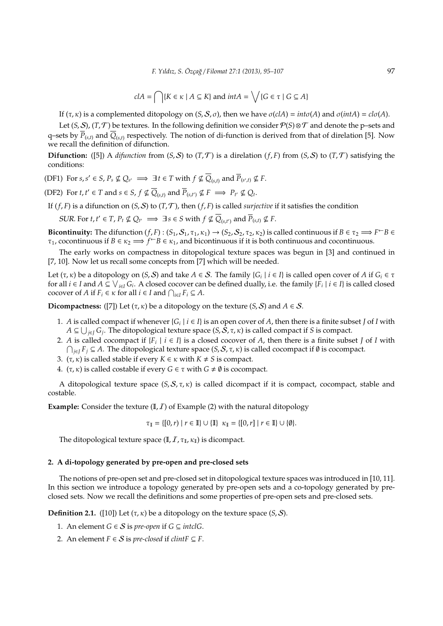$$
clA = \bigcap \{ K \in \kappa \mid A \subseteq K \} \text{ and } intA = \bigvee \{ G \in \tau \mid G \subseteq A \}
$$

If  $(τ, κ)$  is a complemented ditopology on  $(S, S, σ)$ , then we have  $σ(clA) = intσ(A)$  and  $σ(intA) = clσ(A)$ .

Let  $(S, S)$ ,  $(T, T)$  be textures. In the following definition we consider  $P(S) \otimes T$  and denote the p–sets and q–sets by *P*(*s*,*t*) and *Q*(*s*,*t*) respectively. The notion of di-function is derived from that of direlation [5]. Now we recall the definition of difunction.

**Difunction:** ([5]) A *difunction* from  $(S, S)$  to  $(T, T)$  is a direlation  $(f, F)$  from  $(S, S)$  to  $(T, T)$  satisfying the conditions:

(DF1) For  $s, s' \in S$ ,  $P_s \nsubseteq Q_{s'} \implies \exists t \in T$  with  $f \nsubseteq \overline{Q}_{(s,t)}$  and  $\overline{P}_{(s',t)} \nsubseteq F$ .

(DF2) For  $t, t' \in T$  and  $s \in S$ ,  $f \nsubseteq \overline{Q}_{(s,t)}$  and  $\overline{P}_{(s,t')} \nsubseteq F \implies P_{t'} \nsubseteq Q_t$ .

If  $(f, F)$  is a difunction on  $(S, S)$  to  $(T, T)$ , then  $(f, F)$  is called *surjective* if it satisfies the condition

 $SLR$ . For  $t, t' \in T$ ,  $P_t \nsubseteq Q_{t'} \implies \exists s \in S \text{ with } f \nsubseteq \overline{Q}_{(s,t')} \text{ and } \overline{P}_{(s,t)} \nsubseteq F$ .

**Bicontinuity:** The difunction  $(f, F)$ :  $(S_1, S_1, \tau_1, \kappa_1) \to (S_2, S_2, \tau_2, \kappa_2)$  is called continuous if  $B \in \tau_2 \implies F \subseteq B$  $\tau_1$ , cocontinuous if  $B \in \kappa_2 \implies f^{\leftarrow}B \in \kappa_1$ , and bicontinuous if it is both continuous and cocontinuous.

The early works on compactness in ditopological texture spaces was begun in [3] and continued in [7, 10]. Now let us recall some concepts from [7] which will be needed.

Let  $(\tau, \kappa)$  be a ditopology on  $(S, S)$  and take  $A \in S$ . The family  $\{G_i \mid i \in I\}$  is called open cover of  $A$  if  $G_i \in \tau$ for all  $i \in I$  and  $A \subseteq \bigvee_{i \in I} G_i$ . A closed cocover can be defined dually, i.e. the family  $\{\overline{F}_i \mid i \in I\}$  is called closed cocover of *A* if  $F_i \in \kappa$  for all  $i \in I$  and  $\bigcap_{i \in I} F_i \subseteq A$ .

**Dicompactness:** ([7]) Let  $(\tau, \kappa)$  be a ditopology on the texture  $(S, S)$  and  $A \in S$ .

- 1. A is called compact if whenever  $\{G_i \mid i \in I\}$  is an open cover of A, then there is a finite subset *J* of *I* with  $A\subseteq \bigcup_{j\in J}G_j.$  The ditopological texture space  $(S,\tilde{S},\tau,\kappa)$  is called compact if *S* is compact.
- 2. *A* is called cocompact if  ${F_i \mid i \in I}$  is a closed cocover of *A*, then there is a finite subset *J* of *I* with ∩ *<sup>j</sup>*∈*<sup>J</sup> F<sup>j</sup>* ⊆ *A*. The ditopological texture space (*S*, S, τ, κ) is called cocompact if ∅ is cocompact.
- 3. ( $\tau$ ,  $\kappa$ ) is called stable if every  $K \in \kappa$  with  $K \neq S$  is compact.
- 4.  $(\tau, \kappa)$  is called costable if every  $G \in \tau$  with  $G \neq \emptyset$  is cocompact.

A ditopological texture space (*S*, S, τ, κ) is called dicompact if it is compact, cocompact, stable and costable.

**Example:** Consider the texture  $(I, I)$  of Example (2) with the natural ditopology

$$
\tau_{\mathbb{I}} = \{ [0, r) \mid r \in \mathbb{I} \} \cup \{ \mathbb{I} \} \kappa_{\mathbb{I}} = \{ [0, r] \mid r \in \mathbb{I} \} \cup \{ \emptyset \}.
$$

The ditopological texture space (I,  $I$ ,  $\tau_I$ ,  $\kappa_I$ ) is dicompact.

#### **2. A di-topology generated by pre-open and pre-closed sets**

The notions of pre-open set and pre-closed set in ditopological texture spaces was introduced in [10, 11]. In this section we introduce a topology generated by pre-open sets and a co-topology generated by preclosed sets. Now we recall the definitions and some properties of pre-open sets and pre-closed sets.

**Definition 2.1.** ([10]) Let  $(\tau, \kappa)$  be a ditopology on the texture space  $(S, \mathcal{S})$ .

- 1. An element *G* ∈ *S* is *pre-open* if *G* ⊆ *intclG*.
- 2. An element  $F \in S$  is *pre-closed* if *clintF*  $\subseteq F$ .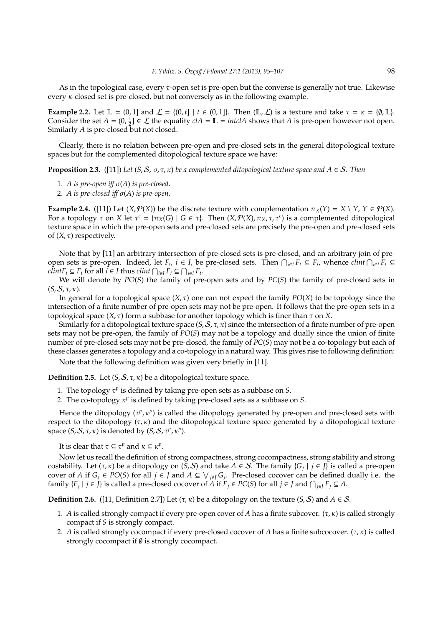As in the topological case, every τ-open set is pre-open but the converse is generally not true. Likewise every  $\kappa$ -closed set is pre-closed, but not conversely as in the following example.

**Example 2.2.** Let  $\mathbb{L} = \{0, 1\}$  and  $\mathcal{L} = \{(0, t] | t \in (0, 1]\}$ . Then  $(\mathbb{L}, \mathcal{L})$  is a texture and take  $\tau = \kappa = \{\emptyset, \mathbb{L}\}$ . Consider the set  $A = (0, \frac{1}{2}] \in \mathcal{L}$  the equality  $cIA = \mathbb{L} = \text{intcl }A$  shows that  $A$  is pre-open however not open. Similarly *A* is pre-closed but not closed.

Clearly, there is no relation between pre-open and pre-closed sets in the general ditopological texture spaces but for the complemented ditopological texture space we have:

**Proposition 2.3.** ([11]) *Let* (*S, S, o, r, k) be a complemented ditopological texture space and*  $A \in S$ *. Then* 

- 1. *A is pre-open iff*  $\sigma(A)$  *is pre-closed.*
- 2. *A is pre-closed i*ff σ(*A*) *is pre-open.*

**Example 2.4.** ([11]) Let  $(X, \mathcal{P}(X))$  be the discrete texture with complementation  $\pi_X(Y) = X \setminus Y$ ,  $Y \in \mathcal{P}(X)$ . For a topology  $\tau$  on *X* let  $\tau^c = {\pi_X(G) \mid G \in \tau}$ . Then  $(X, \mathcal{P}(X), \pi_X, \tau, \tau^c)$  is a complemented ditopological texture space in which the pre-open sets and pre-closed sets are precisely the pre-open and pre-closed sets of  $(X, \tau)$  respectively.

Note that by [11] an arbitrary intersection of pre-closed sets is pre-closed, and an arbitrary join of preopen sets is pre-open. Indeed, let  $F_i$ ,  $i \in I$ , be pre-closed sets. Then  $\bigcap_{i \in I} F_i \subseteq F_i$ , whence  $\text{clint} \bigcap_{i \in I} F_i \subseteq$ *clintF*<sup>*i*</sup> ⊆ *F*<sup>*i*</sup> for all  $i$  ∈ *I* thus *clint*  $\bigcap_{i \in I} F_i$  ⊆  $\bigcap_{i \in I} F_i$ .

We will denote by *PO*(*S*) the family of pre-open sets and by *PC*(*S*) the family of pre-closed sets in  $(S, S, \tau, \kappa)$ .

In general for a topological space (*X*, τ) one can not expect the family *PO*(*X*) to be topology since the intersection of a finite number of pre-open sets may not be pre-open. It follows that the pre-open sets in a topological space (*X*, τ) form a subbase for another topology which is finer than τ on *X*.

Similarly for a ditopological texture space  $(S, S, \tau, \kappa)$  since the intersection of a finite number of pre-open sets may not be pre-open, the family of *PO*(*S*) may not be a topology and dually since the union of finite number of pre-closed sets may not be pre-closed, the family of *PC*(*S*) may not be a co-topology but each of these classes generates a topology and a co-topology in a natural way. This gives rise to following definition:

Note that the following definition was given very briefly in [11].

**Definition 2.5.** Let  $(S, S, \tau, \kappa)$  be a ditopological texture space.

- 1. The topology τ<sup>*p*</sup> is defined by taking pre-open sets as a subbase on *S*.
- 2. The co-topology κ *p* is defined by taking pre-closed sets as a subbase on *S*.

Hence the ditopology ( $\tau^p$ ,  $\kappa^p$ ) is called the ditopology generated by pre-open and pre-closed sets with respect to the ditopology ( $\tau$ ,  $\kappa$ ) and the ditopological texture space generated by a ditopological texture space  $(S, S, \tau, \kappa)$  is denoted by  $(S, S, \tau^p, \kappa^p)$ .

It is clear that  $\tau \subseteq \tau^p$  and  $\kappa \subseteq \kappa^p$ .

Now let us recall the definition of strong compactness, strong cocompactness, strong stability and strong costability. Let (τ, κ) be a ditopology on (*S*, S) and take *A* ∈ S. The family {*G<sup>j</sup>* | *j* ∈ *J*} is called a pre-open cover of *A* if  $G_j \in PO(S)$  for all  $j \in J$  and  $A \subseteq \bigvee_{j \in J} G_j$ . Pre-closed cocover can be defined dually i.e. the family  $\{F_j \mid j \in J\}$  is called a pre-closed cocover of *A* if  $F_j \in PC(S)$  for all  $j \in J$  and  $\bigcap_{j \in J} F_j \subseteq A$ .

**Definition 2.6.** ([11, Definition 2.7]) Let  $(\tau, \kappa)$  be a ditopology on the texture  $(S, S)$  and  $A \in S$ .

- 1. *A* is called strongly compact if every pre-open cover of *A* has a finite subcover. ( $\tau$ ,  $\kappa$ ) is called strongly compact if *S* is strongly compact.
- 2. *A* is called strongly cocompact if every pre-closed cocover of *A* has a finite subcocover. (τ, κ) is called strongly cocompact if  $\emptyset$  is strongly cocompact.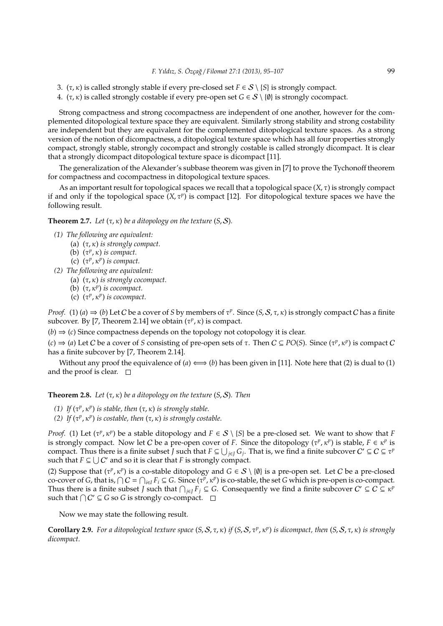- 3.  $(\tau, \kappa)$  is called strongly stable if every pre-closed set  $F \in S \setminus \{S\}$  is strongly compact.
- 4.  $(\tau, \kappa)$  is called strongly costable if every pre-open set  $G \in S \setminus \{\emptyset\}$  is strongly cocompact.

Strong compactness and strong cocompactness are independent of one another, however for the complemented ditopological texture space they are equivalent. Similarly strong stability and strong costability are independent but they are equivalent for the complemented ditopological texture spaces. As a strong version of the notion of dicompactness, a ditopological texture space which has all four properties strongly compact, strongly stable, strongly cocompact and strongly costable is called strongly dicompact. It is clear that a strongly dicompact ditopological texture space is dicompact [11].

The generalization of the Alexander's subbase theorem was given in [7] to prove the Tychonoff theorem for compactness and cocompactness in ditopological texture spaces.

As an important result for topological spaces we recall that a topological space (*X*, τ) is strongly compact if and only if the topological space  $(X, \tau^p)$  is compact [12]. For ditopological texture spaces we have the following result.

**Theorem 2.7.** *Let*  $(\tau, \kappa)$  *be a ditopology on the texture*  $(S, S)$ *.* 

- *(1) The following are equivalent:*
	- (a) (τ, κ) *is strongly compact.*
	- (b)  $(\tau^p, \kappa)$  *is compact.*
	- (c) (τ *p* , κ*<sup>p</sup>* ) *is compact.*
- *(2) The following are equivalent:*
	- (a) (τ, κ) *is strongly cocompact.*
	- (b) (τ, κ*<sup>p</sup>* ) *is cocompact.*
	- (c) (τ *p* , κ*<sup>p</sup>* ) *is cocompact.*

*Proof.* (1) (*a*)  $\Rightarrow$  (*b*) Let *C* be a cover of *S* by members of  $\tau^p$ . Since (*S*, *S*,  $\tau$ ,  $\kappa$ ) is strongly compact *C* has a finite subcover. By [7, Theorem 2.14] we obtain  $(\tau^p, \kappa)$  is compact.

 $(b) \Rightarrow (c)$  Since compactness depends on the topology not cotopology it is clear.

 $(c) \Rightarrow (a)$  Let *C* be a cover of *S* consisting of pre-open sets of  $\tau$ . Then  $C \subseteq PO(S)$ . Since  $(\tau^p, \kappa^p)$  is compact *C* has a finite subcover by [7, Theorem 2.14].

Without any proof the equivalence of  $(a) \iff (b)$  has been given in [11]. Note here that (2) is dual to (1) and the proof is clear.  $\square$ 

**Theorem 2.8.** *Let*  $(\tau, \kappa)$  *be a ditopology on the texture*  $(S, S)$ *. Then* 

- *(1) If*  $(τ<sup>p</sup>, κ<sup>p</sup>)$  *is stable, then*  $(τ, κ)$  *is strongly stable.*
- *(2) If*  $(τ<sup>p</sup>, κ<sup>p</sup>)$  *is costable, then*  $(τ, κ)$  *is strongly costable.*

*Proof.* (1) Let  $(\tau^p, \kappa^p)$  be a stable ditopology and  $F \in S \setminus \{S\}$  be a pre-closed set. We want to show that *F* is strongly compact. Now let *C* be a pre-open cover of *F*. Since the ditopology  $(\tau^p, \kappa^p)$  is stable,  $F \in \kappa^p$  is compact. Thus there is a finite subset *J* such that  $F \subseteq \bigcup_{j \in J} G_j$ . That is, we find a finite subcover  $C' \subseteq C \subseteq \tau^p$ such that  $F \subseteq \bigcup C'$  and so it is clear that *F* is strongly compact.

(2) Suppose that  $(\tau^p, \kappa^p)$  is a co-stable ditopology and  $G \in S \setminus \{0\}$  is a pre-open set. Let C be a pre-closed co-cover of *G*, that is,  $\bigcap C = \bigcap_{i \in I} F_i \subseteq G$ . Since  $(\tau^p, \kappa^p)$  is co-stable, the set *G* which is pre-open is co-compact. Thus there is a finite subset *J* such that  $\bigcap_{j\in J} F_j \subseteq G$ . Consequently we find a finite subcover  $C' \subseteq C \subseteq \kappa^p$ such that  $\bigcap C' \subseteq G$  so *G* is strongly co-compact.

Now we may state the following result.

**Corollary 2.9.** *For a ditopological texture space* (*S*, S, τ, κ) *if* (*S*, S, τ*<sup>p</sup>* , κ*<sup>p</sup>* ) *is dicompact, then* (*S*, S, τ, κ) *is strongly dicompact.*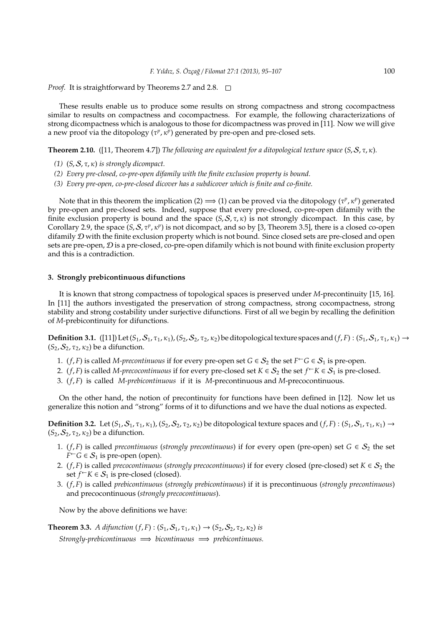*Proof.* It is straightforward by Theorems 2.7 and 2.8.  $\Box$ 

These results enable us to produce some results on strong compactness and strong cocompactness similar to results on compactness and cocompactness. For example, the following characterizations of strong dicompactness which is analogous to those for dicompactness was proved in [11]. Now we will give a new proof via the ditopology (τ<sup>*p*</sup>, κ<sup>*p*</sup>) generated by pre-open and pre-closed sets.

**Theorem 2.10.** ([11, Theorem 4.7]) *The following are equivalent for a ditopological texture space*  $(S, S, \tau, \kappa)$ *.* 

- *(1)* (*S*, S, τ, κ) *is strongly dicompact.*
- *(2) Every pre-closed, co-pre-open difamily with the finite exclusion property is bound.*
- *(3) Every pre-open, co-pre-closed dicover has a subdicover which is finite and co-finite.*

Note that in this theorem the implication (2)  $\implies$  (1) can be proved via the ditopology ( $\tau^p$ ,  $\kappa^p$ ) generated by pre-open and pre-closed sets. Indeed, suppose that every pre-closed, co-pre-open difamily with the finite exclusion property is bound and the space  $(S, S, \tau, \kappa)$  is not strongly dicompact. In this case, by Corollary 2.9, the space (*S*, *S*, *τ<sup>p</sup>*, *κ<sup>p</sup>*) is not dicompact, and so by [3, Theorem 3.5], there is a closed co-open difamily  $D$  with the finite exclusion property which is not bound. Since closed sets are pre-closed and open sets are pre-open,  $D$  is a pre-closed, co-pre-open difamily which is not bound with finite exclusion property and this is a contradiction.

#### **3. Strongly prebicontinuous difunctions**

It is known that strong compactness of topological spaces is preserved under *M*-precontinuity [15, 16]. In [11] the authors investigated the preservation of strong compactness, strong cocompactness, strong stability and strong costability under surjective difunctions. First of all we begin by recalling the definition of *M*-prebicontinuity for difunctions.

**Definition 3.1.** ([11]) Let  $(S_1, S_1, \tau_1, \kappa_1)$ ,  $(S_2, S_2, \tau_2, \kappa_2)$  be ditopological texture spaces and  $(f, F)$ :  $(S_1, S_1, \tau_1, \kappa_1) \rightarrow$  $(S_2, S_2, \tau_2, \kappa_2)$  be a difunction.

- 1. (*f*, *F*) is called *M-precontinuous* if for every pre-open set  $G \in S_2$  the set  $F \subset G \in S_1$  is pre-open.
- 2. (*f*, *F*) is called *M-precocontinuous* if for every pre-closed set  $K \in S_2$  the set  $f \subset K \in S_1$  is pre-closed.
- 3. (*f*, *F*) is called *M-prebicontinuous* if it is *M*-precontinuous and *M*-precocontinuous.

On the other hand, the notion of precontinuity for functions have been defined in [12]. Now let us generalize this notion and "strong" forms of it to difunctions and we have the dual notions as expected.

**Definition 3.2.** Let  $(S_1, S_1, \tau_1, \kappa_1)$ ,  $(S_2, S_2, \tau_2, \kappa_2)$  be ditopological texture spaces and  $(f, F)$ :  $(S_1, S_1, \tau_1, \kappa_1) \rightarrow$  $(S_2, S_2, \tau_2, \kappa_2)$  be a difunction.

- 1. (*f*, *F*) is called *precontinuous* (*strongly precontinuous*) if for every open (pre-open) set *G* ∈  $S_2$  the set  $F^{\leftarrow} G \in S_1$  is pre-open (open).
- 2. (*f*, *F*) is called *precocontinuous* (*strongly precocontinuous*) if for every closed (pre-closed) set  $K \in S_2$  the set *f*<sup>←</sup>*K* ∈ *S*<sub>1</sub> is pre-closed (closed).
- 3. (*f*, *F*) is called *prebicontinuous* (*strongly prebicontinuous*) if it is precontinuous (*strongly precontinuous*) and precocontinuous (*strongly precocontinuous*).

Now by the above definitions we have:

**Theorem 3.3.** *A difunction*  $(f, F)$  :  $(S_1, S_1, \tau_1, \kappa_1) \rightarrow (S_2, S_2, \tau_2, \kappa_2)$  *is Strongly-prebicontinuous* =⇒ *bicontinuous* =⇒ *prebicontinuous.*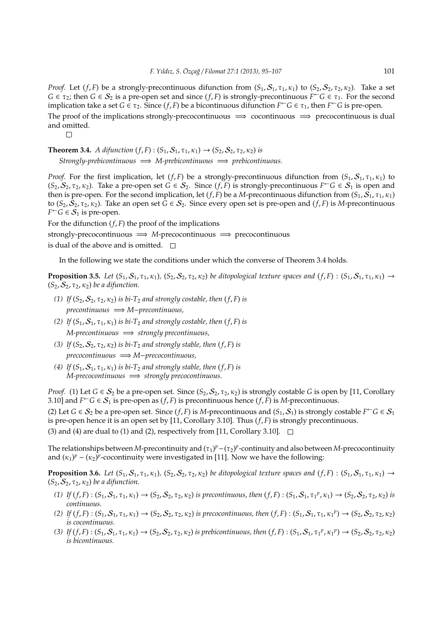*Proof.* Let  $(f, F)$  be a strongly-precontinuous difunction from  $(S_1, S_1, \tau_1, \kappa_1)$  to  $(S_2, S_2, \tau_2, \kappa_2)$ . Take a set *G*  $\in$   $\tau_2$ ; then *G*  $\in$  *S*<sub>2</sub> is a pre-open set and since (*f*, *F*) is strongly-precontinuous  $F^{\leftarrow}G \in \tau_1$ . For the second implication take a set *G*  $\in \tau_2$ . Since  $(f, F)$  be a bicontinuous difunction  $F \subset G \in \tau_1$ , then  $F \subset G$  is pre-open.

The proof of the implications strongly-precocontinuous  $\implies$  cocontinuous  $\implies$  precocontinuous is dual and omitted.

 $\Box$ 

**Theorem 3.4.** *A difunction*  $(f, F)$  :  $(S_1, S_1, \tau_1, \kappa_1) \rightarrow (S_2, S_2, \tau_2, \kappa_2)$  *is Strongly-prebicontinuous* =⇒ *M-prebicontinuous* =⇒ *prebicontinuous.*

*Proof.* For the first implication, let  $(f, F)$  be a strongly-precontinuous difunction from  $(S_1, S_1, \tau_1, \kappa_1)$  to  $(S_2, S_2, \tau_2, \kappa_2)$ . Take a pre-open set  $G \in S_2$ . Since  $(f, F)$  is strongly-precontinuous  $F \subset G \in S_1$  is open and then is pre-open. For the second implication, let  $(f, F)$  be a *M*-precontinuous difunction from  $(S_1, \overline{S_1}, \tau_1, \kappa_1)$ to  $(S_2, \overline{S_2}, \tau_2, \kappa_2)$ . Take an open set  $\overline{G} \in S_2$ . Since every open set is pre-open and  $(f, F)$  is *M*-precontinuous  $F^{\leftarrow}G \in \mathcal{S}_1$  is pre-open.

For the difunction  $(f, F)$  the proof of the implications

strongly-precocontinuous =⇒ *M*-precocontinuous =⇒ precocontinuous

is dual of the above and is omitted.  $\square$ 

In the following we state the conditions under which the converse of Theorem 3.4 holds.

**Proposition 3.5.** *Let*  $(S_1, S_1, \tau_1, \kappa_1)$ ,  $(S_2, S_2, \tau_2, \kappa_2)$  *be ditopological texture spaces and*  $(f, F) : (S_1, S_1, \tau_1, \kappa_1) \rightarrow$  $(S_2, S_2, \tau_2, \kappa_2)$  *be a difunction.* 

- *(1) If*  $(S_2, S_2, \tau_2, \kappa_2)$  *is bi-T<sub>2</sub> and strongly costable, then*  $(f, F)$  *is precontinuous* =⇒ *M*−*precontinuous,*
- *(2) If*  $(S_1, S_1, \tau_1, \kappa_1)$  *is bi-T<sub>2</sub> and strongly costable, then*  $(f, F)$  *is M-precontinuous* =⇒ *strongly precontinuous,*
- (3) *If*  $(S_2, S_2, \tau_2, \kappa_2)$  *is bi-T<sub>2</sub> and strongly stable, then*  $(f, F)$  *is precocontinuous* =⇒ *M*−*precocontinuous,*
- (4) *If*  $(S_1, S_1, \tau_1, \kappa_1)$  *is bi-T<sub>2</sub> and strongly stable, then*  $(f, F)$  *is M-precocontinuous* =⇒ *strongly precocontinuous.*

*Proof.* (1) Let  $G \in S_2$  be a pre-open set. Since  $(S_2, S_2, \tau_2, \kappa_2)$  is strongly costable *G* is open by [11, Corollary 3.10] and  $F^{\leftarrow}G \in \mathcal{S}_1$  is pre-open as  $(f, F)$  is precontinuous hence  $(f, F)$  is *M*-precontinuous.

(2) Let  $G \in S_2$  be a pre-open set. Since  $(f, F)$  is *M*-precontinuous and  $(S_1, S_1)$  is strongly costable  $F \subset G \in S_1$ is pre-open hence it is an open set by [11, Corollary 3.10]. Thus (*f*, *F*) is strongly precontinuous. (3) and (4) are dual to (1) and (2), respectively from [11, Corollary 3.10].  $\square$ 

The relationships between *M*-precontinuity and (τ<sub>1</sub>)<sup>*p*</sup> − (τ<sub>2</sub>)<sup>*p*</sup>-continuity and also between *M*-precocontinuity and  $(\kappa_1)^p - (\kappa_2)^p$ -cocontinuity were investigated in [11]. Now we have the following:

**Proposition 3.6.** *Let*  $(S_1, S_1, \tau_1, \kappa_1)$ ,  $(S_2, S_2, \tau_2, \kappa_2)$  *be ditopological texture spaces and*  $(f, F)$ :  $(S_1, S_1, \tau_1, \kappa_1) \rightarrow$  $(S_2, S_2, \tau_2, \kappa_2)$  *be a difunction.* 

- $(1)$  *If*  $(f, F)$  :  $(S_1, S_1, \tau_1, \kappa_1) \to (S_2, S_2, \tau_2, \kappa_2)$  *is precontinuous, then*  $(f, F)$  :  $(S_1, S_1, \tau_1^p, \kappa_1) \to (S_2, S_2, \tau_2, \kappa_2)$  *is continuous.*
- *(2) If*  $(f, F)$  :  $(S_1, S_1, \tau_1, \kappa_1) \rightarrow (S_2, S_2, \tau_2, \kappa_2)$  *is precocontinuous, then*  $(f, F)$  :  $(S_1, S_1, \tau_1, \kappa_1^p) \rightarrow (S_2, S_2, \tau_2, \kappa_2)$ *is cocontinuous.*
- *(3) If*  $(f, F)$  :  $(S_1, S_1, \tau_1, \kappa_1) \rightarrow (S_2, S_2, \tau_2, \kappa_2)$  *is prebicontinuous, then*  $(f, F)$  :  $(S_1, S_1, \tau_1^p, \kappa_1^p) \rightarrow (S_2, S_2, \tau_2, \kappa_2)$ *is bicontinuous.*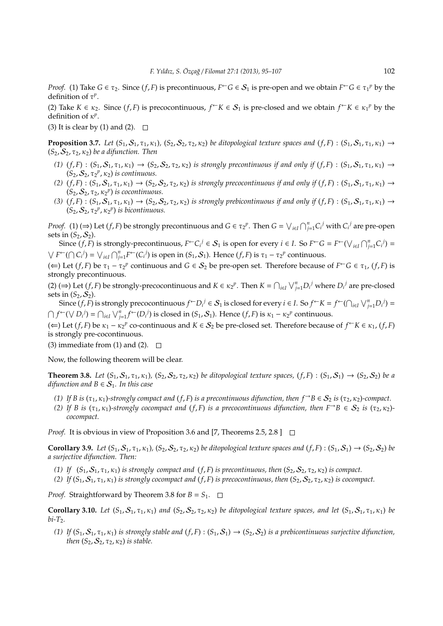*Proof.* (1) Take  $G \in \tau_2$ . Since  $(f, F)$  is precontinuous,  $F \subset G \in S_1$  is pre-open and we obtain  $F \subset G \in \tau_1^p$  by the definition of  $\tau^p$ .

(2) Take  $K \in \kappa_2$ . Since  $(f, F)$  is precocontinuous,  $f \subset K \in S_1$  is pre-closed and we obtain  $f \subset K \in \kappa_1^p$  by the definition of  $κ<sup>p</sup>$ .

(3) It is clear by (1) and (2).  $\Box$ 

**Proposition 3.7.** *Let*  $(S_1, S_1, \tau_1, \kappa_1)$ ,  $(S_2, S_2, \tau_2, \kappa_2)$  *be ditopological texture spaces and*  $(f, F) : (S_1, S_1, \tau_1, \kappa_1) \rightarrow$  $(S_2, S_2, \tau_2, \kappa_2)$  *be a difunction. Then* 

- *(1)* (*f*, *F*) : (*S*1, S1, τ1, κ1) → (*S*2, S2, τ2, κ2) *is strongly precontinuous if and only if* (*f*, *F*) : (*S*1, S1, τ1, κ1) →  $(S_2, S_2, \tau_2^p, \kappa_2)$  *is continuous.*
- *(2)*  $(f, F)$  :  $(S_1, S_1, \tau_1, \kappa_1) \rightarrow (S_2, S_2, \tau_2, \kappa_2)$  *is strongly precocontinuous if and only if*  $(f, F)$  :  $(S_1, S_1, \tau_1, \kappa_1) \rightarrow$  $(S_2, S_2, \tau_2, \kappa_2^p)$  *is cocontinuous.*
- (3)  $(f, F)$ :  $(S_1, S_1, \tau_1, \kappa_1) \rightarrow (S_2, S_2, \tau_2, \kappa_2)$  *is strongly prebicontinuous if and only if*  $(f, F)$ :  $(S_1, S_1, \tau_1, \kappa_1) \rightarrow$  $(S_2, S_2, \tau_2^p, \kappa_2^p)$  *is bicontinuous.*

*Proof.* (1) ( $\Rightarrow$ ) Let (*f*, *F*) be strongly precontinuous and  $G \in \tau_2^p$ . Then  $G = \bigvee_{i \in I} \bigcap_{j=1}^n C_i^j$  with  $C_i^j$  are pre-open sets in  $(S_2, S_2)$ .

Since  $(f, F)$  is strongly-precontinuous,  $F \subset C_i^j \in S_1$  is open for every  $i \in I$ . So  $F \subset G = F \subset (\bigvee_{i \in I} \bigcap_{j=1}^n C_i^j) =$  $\bigvee F^{\leftarrow}(\bigcap C_i^j) = \bigvee_{i \in I} \bigcap_{j=1}^n F^{\leftarrow}(C_i^j)$  is open in  $(S_1, S_1)$ . Hence  $(f, F)$  is  $\tau_1 - \tau_2^p$  continuous.

(←) Let (*f*, *F*) be  $τ_1 - τ_2$ <sup>*p*</sup> continuous and *G* ∈  $S_2$  be pre-open set. Therefore because of  $F^{\leftarrow}G$  ∈  $τ_1$ , (*f*, *F*) is strongly precontinuous.

(2) ( $\Rightarrow$ ) Let (*f*, *F*) be strongly-precocontinuous and  $K \in \kappa_2^p$ . Then  $K = \bigcap_{i \in I} \bigvee_{j=1}^n D_i^j$  where  $D_i^j$  are pre-closed sets in  $(S_2, S_2)$ .

Since  $(f, F)$  is strongly precocontinuous  $f^{\leftarrow}D_i^j \in S_1$  is closed for every  $i \in I$ . So  $f^{\leftarrow}K = f^{\leftarrow}(\bigcap_{i \in I} \bigvee_{j=1}^n D_i^j) =$  $\bigcap f^{\leftarrow}(\bigvee D_i^j) = \bigcap_{i \in I} \bigvee_{j=1}^n f^{\leftarrow}(D_i^j)$  is closed in  $(S_1, S_1)$ . Hence  $(f, F)$  is  $\kappa_1 - \kappa_2^p$  continuous.

(←) Let (*f*, *F*) be  $κ_1 - κ_2$ <sup>*p*</sup> co-continuous and  $K ∈ S_2$  be pre-closed set. Therefore because of  $f ∈ K ∈ κ_1$ , (*f*, *F*) is strongly pre-cocontinuous.

(3) immediate from (1) and (2).  $\square$ 

Now, the following theorem will be clear.

**Theorem 3.8.** *Let*  $(S_1, S_1, \tau_1, \kappa_1)$ ,  $(S_2, S_2, \tau_2, \kappa_2)$  *be ditopological texture spaces,*  $(f, F) : (S_1, S_1) \rightarrow (S_2, S_2)$  *be a difunction and*  $B \in S_1$ *. In this case* 

- *(1) If B is* ( $\tau_1$ ,  $\kappa_1$ )*-strongly compact and* (*f*, *F*) *is a precontinuous difunction, then*  $f \rightarrow B \in S_2$  *is* ( $\tau_2$ ,  $\kappa_2$ )*-compact.*
- *(2)* If B is  $(\tau_1, \kappa_1)$ -strongly cocompact and  $(f, F)$  is a precocontinuous difunction, then  $F \to B \in S_2$  is  $(\tau_2, \kappa_2)$ *cocompact.*

*Proof.* It is obvious in view of Proposition 3.6 and [7, Theorems 2.5, 2.8 ]  $\Box$ 

**Corollary 3.9.** Let  $(S_1, S_1, \tau_1, \kappa_1)$ ,  $(S_2, S_2, \tau_2, \kappa_2)$  be ditopological texture spaces and  $(f, F) : (S_1, S_1) \rightarrow (S_2, S_2)$  be *a surjective difunction. Then:*

- (1) If  $(S_1, S_1, \tau_1, \kappa_1)$  *is strongly compact and*  $(f, F)$  *is precontinuous, then*  $(S_2, S_2, \tau_2, \kappa_2)$  *is compact.*
- (2) If  $(S_1, S_1, \tau_1, \kappa_1)$  *is strongly cocompact and*  $(f, F)$  *is precocontinuous, then*  $(S_2, S_2, \tau_2, \kappa_2)$  *is cocompact.*

*Proof.* Straightforward by Theorem 3.8 for  $B = S_1$ .  $\Box$ 

**Corollary 3.10.** *Let*  $(S_1, S_1, \tau_1, \kappa_1)$  *and*  $(S_2, S_2, \tau_2, \kappa_2)$  *be ditopological texture spaces, and let*  $(S_1, S_1, \tau_1, \kappa_1)$  *be*  $bi-T<sub>2</sub>$ *.* 

(1) If  $(S_1, S_1, \tau_1, \kappa_1)$  *is strongly stable and*  $(f, F) : (S_1, S_1) \to (S_2, S_2)$  *is a prebicontinuous surjective difunction*, *then*  $(S_2, S_2, \tau_2, \kappa_2)$  *is stable.*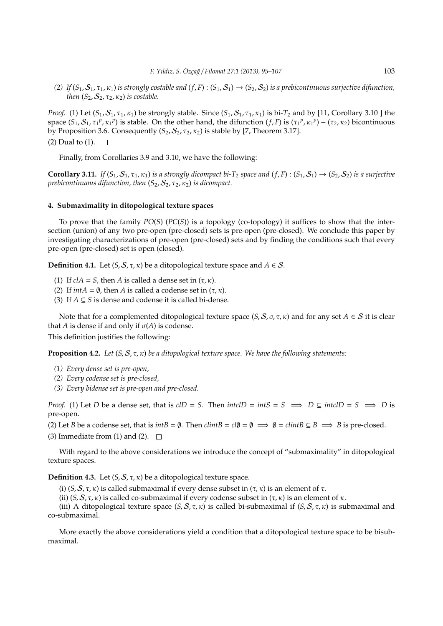(2) If  $(S_1, S_1, \tau_1, \kappa_1)$  *is strongly costable and*  $(f, F)$ :  $(S_1, S_1) \rightarrow (S_2, S_2)$  *is a prebicontinuous surjective difunction, then*  $(S_2, S_2, \tau_2, \kappa_2)$  *is costable.* 

*Proof.* (1) Let  $(S_1, S_1, \tau_1, \kappa_1)$  be strongly stable. Since  $(S_1, S_1, \tau_1, \kappa_1)$  is bi- $T_2$  and by [11, Corollary 3.10 ] the space  $(S_1, S_1, \tau_1^p, \kappa_1^p)$  is stable. On the other hand, the difunction  $(f, F)$  is  $(\tau_1^p, \kappa_1^p) - (\tau_2, \kappa_2)$  bicontinuous by Proposition 3.6. Consequently  $(S_2, S_2, \tau_2, \kappa_2)$  is stable by [7, Theorem 3.17]. (2) Dual to (1).  $\square$ 

Finally, from Corollaries 3.9 and 3.10, we have the following:

**Corollary 3.11.** *If*  $(S_1, S_1, \tau_1, \kappa_1)$  *is a strongly dicompact bi-T*<sub>2</sub> *space and*  $(f, F)$  :  $(S_1, S_1) \rightarrow (S_2, S_2)$  *is a surjective prebicontinuous difunction, then*  $(S_2, S_2, \tau_2, \kappa_2)$  *is dicompact.* 

#### **4. Submaximality in ditopological texture spaces**

To prove that the family *PO*(*S*) (*PC*(*S*)) is a topology (co-topology) it suffices to show that the intersection (union) of any two pre-open (pre-closed) sets is pre-open (pre-closed). We conclude this paper by investigating characterizations of pre-open (pre-closed) sets and by finding the conditions such that every pre-open (pre-closed) set is open (closed).

**Definition 4.1.** Let  $(S, S, \tau, \kappa)$  be a ditopological texture space and  $A \in S$ .

- (1) If  $cIA = S$ , then *A* is called a dense set in  $(\tau, \kappa)$ .
- (2) If  $intA = \emptyset$ , then *A* is called a codense set in  $(\tau, \kappa)$ .
- (3) If  $A \subseteq S$  is dense and codense it is called bi-dense.

Note that for a complemented ditopological texture space  $(S, S, \sigma, \tau, \kappa)$  and for any set  $A \in S$  it is clear that *A* is dense if and only if  $\sigma(A)$  is codense.

This definition justifies the following:

**Proposition 4.2.** *Let* (*S*, S, τ, κ) *be a ditopological texture space. We have the following statements:*

- *(1) Every dense set is pre-open,*
- *(2) Every codense set is pre-closed,*
- *(3) Every bidense set is pre-open and pre-closed.*

*Proof.* (1) Let *D* be a dense set, that is  $cID = S$ . Then  $intcID = infS = S \implies D \subseteq intcID = S \implies D$  is pre-open.

(2) Let *B* be a codense set, that is  $intB = \emptyset$ . Then  $clintB = cl\emptyset = \emptyset \implies \emptyset = clintB \subseteq B \implies B$  is pre-closed.

(3) Immediate from (1) and (2).  $\square$ 

With regard to the above considerations we introduce the concept of "submaximality" in ditopological texture spaces.

**Definition 4.3.** Let  $(S, S, \tau, \kappa)$  be a ditopological texture space.

(i)  $(S, S, \tau, \kappa)$  is called submaximal if every dense subset in  $(\tau, \kappa)$  is an element of  $\tau$ .

(ii)  $(S, S, \tau, \kappa)$  is called co-submaximal if every codense subset in  $(\tau, \kappa)$  is an element of  $\kappa$ .

(iii) A ditopological texture space  $(S, S, \tau, \kappa)$  is called bi-submaximal if  $(S, S, \tau, \kappa)$  is submaximal and co-submaximal.

More exactly the above considerations yield a condition that a ditopological texture space to be bisubmaximal.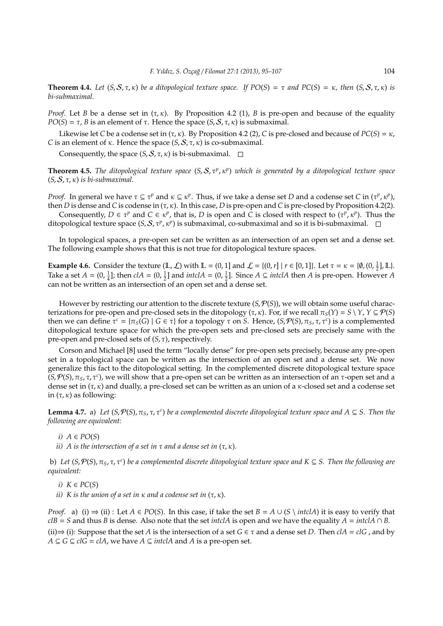**Theorem 4.4.** *Let*  $(S, S, \tau, \kappa)$  *be a ditopological texture space. If*  $PO(S) = \tau$  *and*  $PC(S) = \kappa$ *, then*  $(S, S, \tau, \kappa)$  *is bi-submaximal.*

*Proof.* Let *B* be a dense set in  $(\tau, \kappa)$ . By Proposition 4.2 (1), *B* is pre-open and because of the equality *PO*(*S*) =  $\tau$ , *B* is an element of  $\tau$ . Hence the space (*S*, *S*,  $\tau$ , *κ*) is submaximal.

Likewise let *C* be a codense set in  $(\tau, \kappa)$ . By Proposition 4.2 (2), *C* is pre-closed and because of  $PC(S) = \kappa$ , *C* is an element of  $\kappa$ . Hence the space  $(S, S, \tau, \kappa)$  is co-submaximal.

Consequently, the space  $(S, S, \tau, \kappa)$  is bi-submaximal.  $\square$ 

**Theorem 4.5.** *The ditopological texture space* (*S*, *S*, τ<sup>*p*</sup>, κ<sup>*p*</sup>) *which is generated by a ditopological texture space*  $(S, S, \tau, \kappa)$  *is bi-submaximal.* 

*Proof.* In general we have  $\tau \subseteq \tau^p$  and  $\kappa \subseteq \kappa^p$ . Thus, if we take a dense set *D* and a codense set *C* in  $(\tau^p, \kappa^p)$ , then *D* is dense and *C* is codense in (τ, κ). In this case, *D* is pre-open and *C* is pre-closed by Proposition 4.2(2).

Consequently,  $D \in \tau^p$  and  $C \in \kappa^p$ , that is, *D* is open and *C* is closed with respect to ( $\tau^p$ ,  $\kappa^p$ ). Thus the ditopological texture space (*S*, *S*, *τ<sup>p</sup>*, *κ*<sup>*p*</sup>) is submaximal, co-submaximal and so it is bi-submaximal.

In topological spaces, a pre-open set can be written as an intersection of an open set and a dense set. The following example shows that this is not true for ditopological texture spaces.

**Example 4.6.** Consider the texture  $(\mathbb{L}, \mathcal{L})$  with  $\mathbb{L} = (0, 1]$  and  $\mathcal{L} = \{(0, r] \mid r \in [0, 1]\}$ . Let  $\tau = \kappa = \{\emptyset, (0, \frac{1}{2}], \mathbb{L}\}$ . Take a set  $A = (0, \frac{1}{4}]$ ; then  $cIA = (0, \frac{1}{2}]$  and  $intclA = (0, \frac{1}{2}]$ . Since  $A \subseteq intclA$  then  $A$  is pre-open. However  $A$ can not be written as an intersection of an open set and a dense set.

However by restricting our attention to the discrete texture  $(S, \mathcal{P}(S))$ , we will obtain some useful characterizations for pre-open and pre-closed sets in the ditopology (τ, κ). For, if we recall  $\pi_S(Y) = S \setminus Y$ ,  $Y \subseteq \mathcal{P}(S)$ then we can define  $\tau^c = \{\pi_S(G) \mid G \in \tau\}$  for a topology  $\tau$  on *S*. Hence,  $(S, \mathcal{P}(S), \pi_S, \tau, \tau^c)$  is a complemented ditopological texture space for which the pre-open sets and pre-closed sets are precisely same with the pre-open and pre-closed sets of (*S*, τ), respectively.

Corson and Michael [8] used the term "locally dense" for pre-open sets precisely, because any pre-open set in a topological space can be written as the intersection of an open set and a dense set. We now generalize this fact to the ditopological setting. In the complemented discrete ditopological texture space (*S*, P(*S*), π*S*, τ, τ*<sup>c</sup>* ), we will show that a pre-open set can be written as an intersection of an τ-open set and a dense set in  $(\tau, \kappa)$  and dually, a pre-closed set can be written as an union of a  $\kappa$ -closed set and a codense set in  $(\tau, \kappa)$  as following:

**Lemma 4.7.** a) Let  $(S, \mathcal{P}(S), \pi_S, \tau, \tau^c)$  be a complemented discrete ditopological texture space and  $A \subseteq S$ . Then the *following are equivalent:*

- *i*)  $A ∈ PO(S)$
- *ii*) A is the intersection of a set in  $\tau$  and a dense set in  $(\tau, \kappa)$ .

b) *Let* (*S*, P(*S*), π*S*, τ, τ*<sup>c</sup>* ) *be a complemented discrete ditopological texture space and K* ⊆ *S. Then the following are equivalent:*

*i*)  $K ∈ PC(S)$ 

*ii*) K is the union of a set in  $\kappa$  and a codense set in  $(\tau, \kappa)$ .

*Proof.* a) (i)  $\Rightarrow$  (ii) : Let *A* ∈ *PO*(*S*). In this case, if take the set *B* = *A* ∪ (*S* \ *intclA*) it is easy to verify that  $c$ *clB* = *S* and thus *B* is dense. Also note that the set *intclA* is open and we have the equality  $A = intcIA \cap B$ . (ii)⇒ (i): Suppose that the set *A* is the intersection of a set *G* ∈  $\tau$  and a dense set *D*. Then *clA* = *clG* , and by *A* ⊆ *G* ⊆ *clG* = *clA*, we have *A* ⊆ *intclA* and *A* is a pre-open set.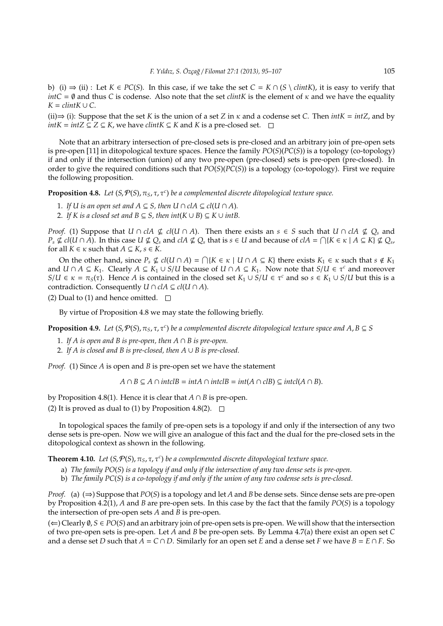b) (i)  $\Rightarrow$  (ii) : Let *K* ∈ *PC*(*S*). In this case, if we take the set *C* = *K* ∩ (*S* \ *clintK*), it is easy to verify that *intC* =  $\emptyset$  and thus *C* is codense. Also note that the set *clintK* is the element of  $\kappa$  and we have the equality  $K = \text{clint}K \cup C$ .

(ii)⇒ (i): Suppose that the set *K* is the union of a set *Z* in  $\kappa$  and a codense set *C*. Then *intK* = *intZ*, and by *intK* =  $intZ \subseteq Z$  ≤ *K*, we have *clintK* ≤ *K* and *K* is a pre-closed set.  $□$ 

Note that an arbitrary intersection of pre-closed sets is pre-closed and an arbitrary join of pre-open sets is pre-open [11] in ditopological texture spaces. Hence the family *PO*(*S*)(*PC*(*S*)) is a topology (co-topology) if and only if the intersection (union) of any two pre-open (pre-closed) sets is pre-open (pre-closed). In order to give the required conditions such that *PO*(*S*)(*PC*(*S*)) is a topology (co-topology). First we require the following proposition.

**Proposition 4.8.** *Let* (*S*, P(*S*), π*S*, τ, τ*<sup>c</sup>* ) *be a complemented discrete ditopological texture space.*

- 1. If U is an open set and  $A \subseteq S$ , then  $U \cap cA \subseteq cl(U \cap A)$ .
- 2. If *K* is a closed set and  $B \subseteq S$ , then  $int(K \cup B) \subseteq K \cup intB$ .

*Proof.* (1) Suppose that *U* ∩ *clA*  $\nsubseteq$  *cl*(*U* ∩ *A*). Then there exists an *s*  $\in$  *S* such that *U* ∩ *clA*  $\nsubseteq$  *Q<sub>s</sub>* and  $P_s \notin cl(U \cap A)$ . In this case  $U \nsubseteq Q_s$  and  $clA \nsubseteq Q_s$  that is  $s \in U$  and because of  $clA = \bigcap \{K \in \kappa \mid A \subseteq K\} \nsubseteq Q_s$ , for all  $K \in \kappa$  such that  $A \subseteq K$ ,  $s \in K$ .

On the other hand, since  $P_s \nsubseteq cl(U \cap A) = \bigcap \{K \in \kappa \mid U \cap A \subseteq K\}$  there exists  $K_1 \in \kappa$  such that  $s \notin K_1$ and  $U \cap A \subseteq K_1$ . Clearly  $A \subseteq K_1 \cup S/U$  because of  $U \cap A \subseteq K_1$ . Now note that  $S/U \in \tau^c$  and moreover *S*/*U*  $\in \kappa = \pi_S(\tau)$ . Hence *A* is contained in the closed set  $K_1 \cup S/U \in \tau^c$  and so  $s \in K_1 \cup S/U$  but this is a contradiction. Consequently  $U \cap c A \subseteq c l(U \cap A)$ .

(2) Dual to (1) and hence omitted.  $\square$ 

By virtue of Proposition 4.8 we may state the following briefly.

**Proposition 4.9.** Let  $(S, \mathcal{P}(S), \pi_S, \tau, \tau^c)$  be a complemented discrete ditopological texture space and  $A, B \subseteq S$ 

- 1. *If A is open and B is pre-open, then A* ∩ *B is pre-open.*
- 2. *If A is closed and B is pre-closed, then A* ∪ *B is pre-closed.*

*Proof.* (1) Since *A* is open and *B* is pre-open set we have the statement

*A* ∩ *B* ⊆ *A* ∩ *intclB* = *intA* ∩ *intclB* = *int*(*A* ∩ *clB*) ⊆ *intcl*(*A* ∩ *B*).

by Proposition 4.8(1). Hence it is clear that *A* ∩ *B* is pre-open.

(2) It is proved as dual to (1) by Proposition 4.8(2).  $\Box$ 

In topological spaces the family of pre-open sets is a topology if and only if the intersection of any two dense sets is pre-open. Now we will give an analogue of this fact and the dual for the pre-closed sets in the ditopological context as shown in the following.

**Theorem 4.10.** *Let* (*S*, P(*S*), π*S*, τ, τ*<sup>c</sup>* ) *be a complemented discrete ditopological texture space.*

- a) *The family PO*(*S*) *is a topology if and only if the intersection of any two dense sets is pre-open.*
- b) *The family PC*(*S*) *is a co-topology if and only if the union of any two codense sets is pre-closed.*

*Proof.* (a)  $(\Rightarrow)$  Suppose that *PO*(*S*) is a topology and let *A* and *B* be dense sets. Since dense sets are pre-open by Proposition 4.2(1), *A* and *B* are pre-open sets. In this case by the fact that the family *PO*(*S*) is a topology the intersection of pre-open sets *A* and *B* is pre-open.

(⇐) Clearly ∅, *S* ∈ *PO*(*S*) and an arbitrary join of pre-open sets is pre-open. We will show that the intersection of two pre-open sets is pre-open. Let *A* and *B* be pre-open sets. By Lemma 4.7(a) there exist an open set *C* and a dense set *D* such that  $\overline{A} = C \cap D$ . Similarly for an open set *E* and a dense set *F* we have  $B = E \cap F$ . So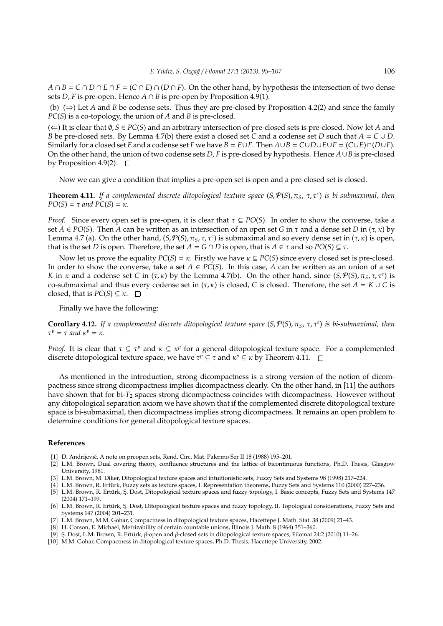$A \cap B = C \cap D \cap E \cap F = (C \cap E) \cap (D \cap F)$ . On the other hand, by hypothesis the intersection of two dense sets *D*, *F* is pre-open. Hence  $A \cap B$  is pre-open by Proposition 4.9(1).

(b) (⇒) Let *A* and *B* be codense sets. Thus they are pre-closed by Proposition 4.2(2) and since the family *PC*(*S*) is a co-topology, the union of *A* and *B* is pre-closed.

(⇐) It is clear that ∅, *S* ∈ *PC*(*S*) and an arbitrary intersection of pre-closed sets is pre-closed. Now let *A* and *B* be pre-closed sets. By Lemma 4.7(b) there exist a closed set *C* and a codense set *D* such that *A* = *C* ∪ *D*. Similarly for a closed set *E* and a codense set *F* we have  $B = E \cup F$ . Then  $A \cup B = C \cup D \cup E \cup F = (C \cup E) \cap (D \cup F)$ . On the other hand, the union of two codense sets *D*, *F* is pre-closed by hypothesis. Hence *A*∪*B* is pre-closed by Proposition 4.9(2).  $\square$ 

Now we can give a condition that implies a pre-open set is open and a pre-closed set is closed.

**Theorem 4.11.** *If a complemented discrete ditopological texture space* (*S*, P(*S*), π*S*, τ, τ*<sup>c</sup>* ) *is bi-submaximal, then*  $PO(S) = \tau$  *and*  $PC(S) = \kappa$ *.* 

*Proof.* Since every open set is pre-open, it is clear that  $\tau \subseteq PO(S)$ . In order to show the converse, take a set  $A \in PO(S)$ . Then A can be written as an intersection of an open set G in  $\tau$  and a dense set D in  $(\tau, \kappa)$  by Lemma 4.7 (a). On the other hand,  $(S, P(S), \pi_S, \tau, \tau^c)$  is submaximal and so every dense set in  $(\tau, \kappa)$  is open, that is the set *D* is open. Therefore, the set *A* = *G* ∩ *D* is open, that is *A* ∈ τ and so *PO*(*S*) ⊆ τ.

Now let us prove the equality  $PC(S) = \kappa$ . Firstly we have  $\kappa \subseteq PC(S)$  since every closed set is pre-closed. In order to show the converse, take a set  $A \in PC(S)$ . In this case, *A* can be written as an union of a set *K* in  $\kappa$  and a codense set *C* in  $(\tau, \kappa)$  by the Lemma 4.7(b). On the other hand, since  $(S, \mathcal{P}(S), \pi_S, \tau, \tau^c)$  is co-submaximal and thus every codense set in  $(\tau, \kappa)$  is closed, *C* is closed. Therefore, the set  $A = K \cup C$  is closed, that is  $PC(S) \subseteq \kappa$ .  $\square$ 

Finally we have the following:

**Corollary 4.12.** *If a complemented discrete ditopological texture space* (*S*, P(*S*), π*S*, τ, τ*<sup>c</sup>* ) *is bi-submaximal, then*  $\tau^p = \tau$  *and*  $\kappa^p = \kappa$ *.* 

*Proof.* It is clear that  $\tau \subseteq \tau^p$  and  $\kappa \subseteq \kappa^p$  for a general ditopological texture space. For a complemented discrete ditopological texture space, we have  $\tau^p \subseteq \tau$  and  $\kappa^p \subseteq \kappa$  by Theorem 4.11.

As mentioned in the introduction, strong dicompactness is a strong version of the notion of dicompactness since strong dicompactness implies dicompactness clearly. On the other hand, in [11] the authors have shown that for bi-*T*<sup>2</sup> spaces strong dicompactness coincides with dicompactness. However without any ditopological separation axiom we have shown that if the complemented discrete ditopological texture space is bi-submaximal, then dicompactness implies strong dicompactness. It remains an open problem to determine conditions for general ditopological texture spaces.

### **References**

- [1] D. Andrijevic, A note on preopen sets, Rend. Circ. Mat. Palermo Ser II 18 (1988) 195–201. ´
- [2] L.M. Brown, Dual covering theory, confluence structures and the lattice of bicontinuous functions, Ph.D. Thesis, Glasgow University, 1981.
- [3] L.M. Brown, M. Diker, Ditopological texture spaces and intuitionistic sets, Fuzzy Sets and Systems 98 (1998) 217–224.
- [4] L.M. Brown, R. Erturk, Fuzzy sets as texture spaces, I. Representation theorems, Fuzzy Sets and Systems 110 (2000) 227–236. ¨ [5] L.M. Brown, R. Erturk, S¸. Dost, Ditopological texture spaces and fuzzy topology, I. Basic concepts, Fuzzy Sets and Systems 147 ¨ (2004) 171–199.
- [6] L.M. Brown, R. Ertürk, Ş. Dost, Ditopological texture spaces and fuzzy topology, II. Topological considerations, Fuzzy Sets and Systems 147 (2004) 201–231.
- [7] L.M. Brown, M.M. Gohar, Compactness in ditopological texture spaces, Hacettepe J. Math. Stat. 38 (2009) 21–43.
- [8] H. Corson, E. Michael, Metrizability of certain countable unions, Illinois J. Math. 8 (1964) 351–360.
- [9] S. Dost, L.M. Brown, R. Ertürk, β-open and β-closed sets in ditopological texture spaces, Filomat 24:2 (2010) 11–26.
- [10] M.M. Gohar, Compactness in ditopological texture spaces, Ph.D. Thesis, Hacettepe University, 2002.